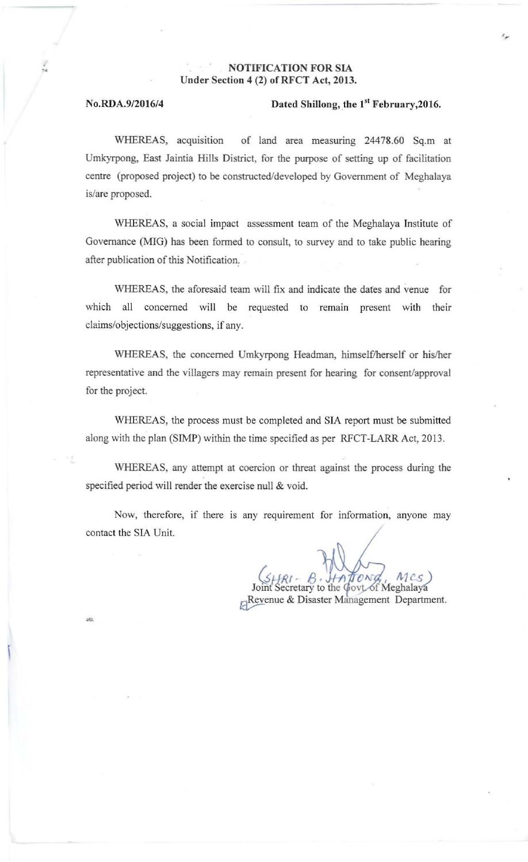## NOTIFICATION FOR SIA Under Section 4 (2) of RFCT Act, 2013.

 $\mathcal{L}$ 

drit

## No.RDA.9/2016/4 Dated Shillong, the 1<sup>st</sup> February, 2016.

WHEREAS, acquisition of land area measuring 24478.60 Sq.m at **Umkyrpong, East** Jaintia **Hills District, for the purpose of setting up of facilitation centre (proposed project) to be constructed/developed by Government of Meghalaya is/are proposed.** 

**\VHEREAS, a social impact assessment team of the Meghalaya Institute of Governance (MIG) has been formed to consult, to survey and to take public hearing after publication** of this **Notification:** 

**\VHEREAS, the aforesaid team will fix and indicate the dates and venue for**  which all concerned will be requested to remain present with their **claims/objections/suggestions, ifany.** 

WHEREAS, the concerned Umkyrpong Headman, himself/herself or his/her **representative and the villagers may remain present for hearing for consent/approval for the project.** 

WHEREAS, the process must be completed and SIA report must be submitted along with the plan (SIMP) within the time specified as per RFCT-LARR Act, 2013.

**\VHEREAS, any attempt at coercion or threat against the process during the specified period will render the exercise null & void.** 

**Now, therefore, if there is any requirement for information, anyone may contact the SIA Unit.** 

etary to the Govt of Meghalaya **Revenue & Disaster Management Department.**